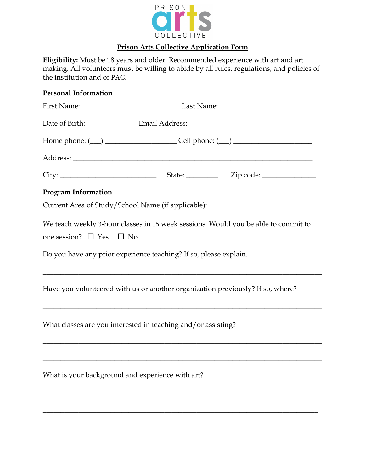

## **Prison Arts Collective Application Form**

**Eligibility:** Must be 18 years and older. Recommended experience with art and art making. All volunteers must be willing to abide by all rules, regulations, and policies of the institution and of PAC.

## **Personal Information**

| <b>Program Information</b>              |                                                                                                                                                                                                                                       |
|-----------------------------------------|---------------------------------------------------------------------------------------------------------------------------------------------------------------------------------------------------------------------------------------|
|                                         | Current Area of Study/School Name (if applicable): _____________________________                                                                                                                                                      |
| one session? $\square$ Yes $\square$ No | We teach weekly 3-hour classes in 15 week sessions. Would you be able to commit to<br>Do you have any prior experience teaching? If so, please explain. ______________<br><u> 1989 - Johann Stoff, amerikansk politiker (d. 1989)</u> |
|                                         | Have you volunteered with us or another organization previously? If so, where?                                                                                                                                                        |
|                                         | What classes are you interested in teaching and/or assisting?                                                                                                                                                                         |
|                                         | What is your background and experience with art?                                                                                                                                                                                      |

\_\_\_\_\_\_\_\_\_\_\_\_\_\_\_\_\_\_\_\_\_\_\_\_\_\_\_\_\_\_\_\_\_\_\_\_\_\_\_\_\_\_\_\_\_\_\_\_\_\_\_\_\_\_\_\_\_\_\_\_\_\_\_\_\_\_\_\_\_\_\_\_\_\_\_\_\_\_

\_\_\_\_\_\_\_\_\_\_\_\_\_\_\_\_\_\_\_\_\_\_\_\_\_\_\_\_\_\_\_\_\_\_\_\_\_\_\_\_\_\_\_\_\_\_\_\_\_\_\_\_\_\_\_\_\_\_\_\_\_\_\_\_\_\_\_\_\_\_\_\_\_\_\_\_\_